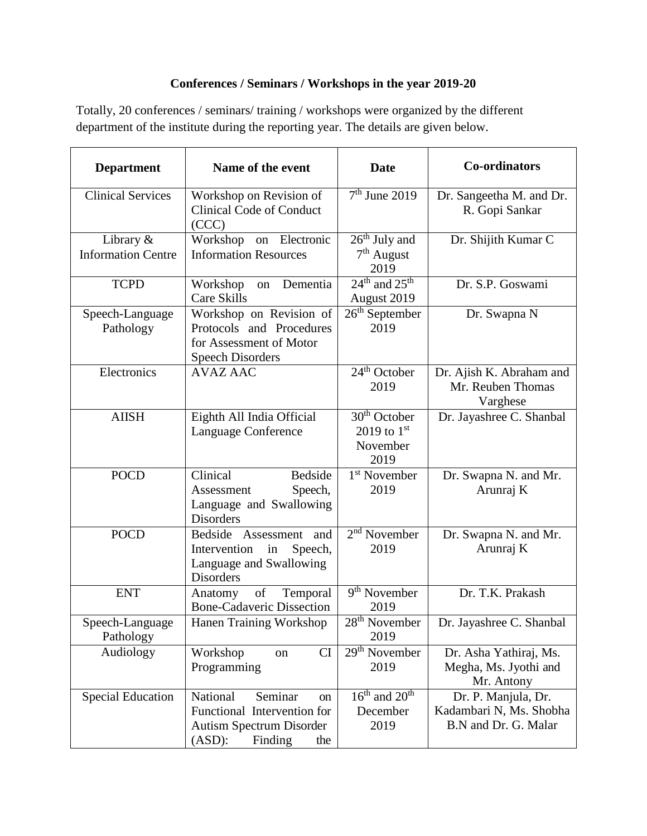## **Conferences / Seminars / Workshops in the year 2019-20**

Totally, 20 conferences / seminars/ training / workshops were organized by the different department of the institute during the reporting year. The details are given below.

| <b>Department</b>                      | Name of the event                                                                                                       | <b>Date</b>                                                      | <b>Co-ordinators</b>                                                   |
|----------------------------------------|-------------------------------------------------------------------------------------------------------------------------|------------------------------------------------------------------|------------------------------------------------------------------------|
| <b>Clinical Services</b>               | Workshop on Revision of<br><b>Clinical Code of Conduct</b><br>(CCC)                                                     | $7th$ June 2019                                                  | Dr. Sangeetha M. and Dr.<br>R. Gopi Sankar                             |
| Library &<br><b>Information Centre</b> | Workshop on Electronic<br><b>Information Resources</b>                                                                  | $26th$ July and<br>$7th$ August<br>2019                          | Dr. Shijith Kumar C                                                    |
| <b>TCPD</b>                            | Workshop<br>Dementia<br>on<br><b>Care Skills</b>                                                                        | $24th$ and $25th$<br>August 2019                                 | Dr. S.P. Goswami                                                       |
| Speech-Language<br>Pathology           | Workshop on Revision of<br>Protocols and Procedures<br>for Assessment of Motor<br><b>Speech Disorders</b>               | $26th$ September<br>2019                                         | Dr. Swapna N                                                           |
| Electronics                            | <b>AVAZ AAC</b>                                                                                                         | 24 <sup>th</sup> October<br>2019                                 | Dr. Ajish K. Abraham and<br>Mr. Reuben Thomas<br>Varghese              |
| <b>AIISH</b>                           | Eighth All India Official<br><b>Language Conference</b>                                                                 | 30 <sup>th</sup> October<br>2019 to $1^{st}$<br>November<br>2019 | Dr. Jayashree C. Shanbal                                               |
| <b>POCD</b>                            | Clinical<br><b>Bedside</b><br>Speech,<br>Assessment<br>Language and Swallowing<br><b>Disorders</b>                      | 1 <sup>st</sup> November<br>2019                                 | Dr. Swapna N. and Mr.<br>Arunraj K                                     |
| <b>POCD</b>                            | Bedside Assessment and<br>Intervention<br>in<br>Speech,<br>Language and Swallowing<br>Disorders                         | $2nd$ November<br>2019                                           | Dr. Swapna N. and Mr.<br>Arunraj K                                     |
| <b>ENT</b>                             | of<br>Temporal<br>Anatomy<br><b>Bone-Cadaveric Dissection</b>                                                           | 9 <sup>th</sup> November<br>2019                                 | Dr. T.K. Prakash                                                       |
| Speech-Language<br>Pathology           | Hanen Training Workshop                                                                                                 | $28th$ November<br>2019                                          | Dr. Jayashree C. Shanbal                                               |
| Audiology                              | CI<br>Workshop<br>on<br>Programming                                                                                     | $29th$ November<br>2019                                          | Dr. Asha Yathiraj, Ms.<br>Megha, Ms. Jyothi and<br>Mr. Antony          |
| <b>Special Education</b>               | National<br>Seminar<br>on<br>Functional Intervention for<br><b>Autism Spectrum Disorder</b><br>(ASD):<br>Finding<br>the | $16th$ and $20th$<br>December<br>2019                            | Dr. P. Manjula, Dr.<br>Kadambari N, Ms. Shobha<br>B.N and Dr. G. Malar |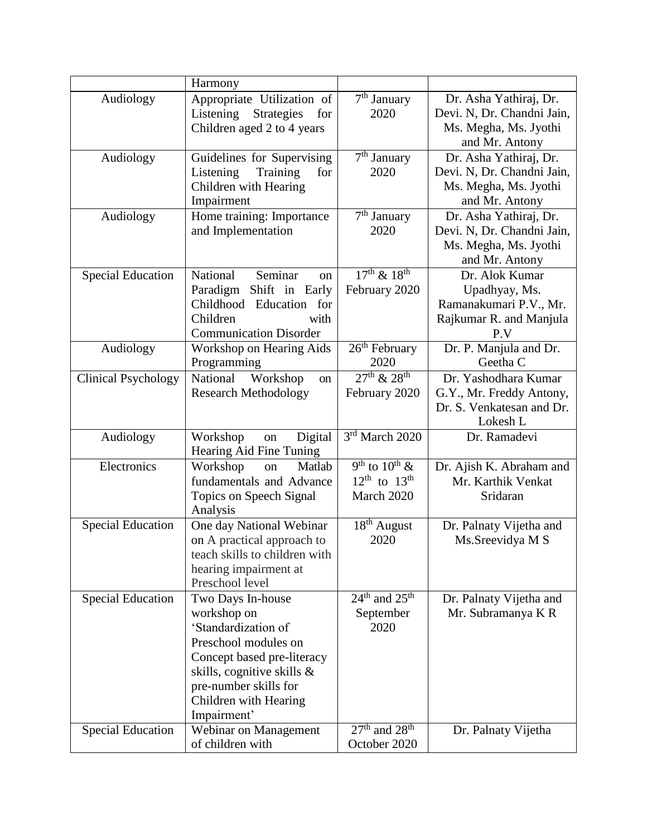|                            | Harmony                                                                                                                                                                                                         |                                                             |                                                                                                 |
|----------------------------|-----------------------------------------------------------------------------------------------------------------------------------------------------------------------------------------------------------------|-------------------------------------------------------------|-------------------------------------------------------------------------------------------------|
| Audiology                  | Appropriate Utilization of<br>Listening<br><b>Strategies</b><br>for<br>Children aged 2 to 4 years                                                                                                               | $\overline{7^{th}}$ January<br>2020                         | Dr. Asha Yathiraj, Dr.<br>Devi. N, Dr. Chandni Jain,<br>Ms. Megha, Ms. Jyothi<br>and Mr. Antony |
| Audiology                  | Guidelines for Supervising<br>Training<br>Listening<br>for<br>Children with Hearing<br>Impairment                                                                                                               | $7th$ January<br>2020                                       | Dr. Asha Yathiraj, Dr.<br>Devi. N, Dr. Chandni Jain,<br>Ms. Megha, Ms. Jyothi<br>and Mr. Antony |
| Audiology                  | Home training: Importance<br>and Implementation                                                                                                                                                                 | 7 <sup>th</sup> January<br>2020                             | Dr. Asha Yathiraj, Dr.<br>Devi. N, Dr. Chandni Jain,<br>Ms. Megha, Ms. Jyothi<br>and Mr. Antony |
| <b>Special Education</b>   | National<br>Seminar<br><sub>on</sub><br>Shift in Early<br>Paradigm<br>Childhood<br>Education for<br>Children<br>with<br><b>Communication Disorder</b>                                                           | $17^{th}$ & $18^{th}$<br>February 2020                      | Dr. Alok Kumar<br>Upadhyay, Ms.<br>Ramanakumari P.V., Mr.<br>Rajkumar R. and Manjula<br>P.V     |
| Audiology                  | Workshop on Hearing Aids<br>Programming                                                                                                                                                                         | $26th$ February<br>2020                                     | Dr. P. Manjula and Dr.<br>Geetha C                                                              |
| <b>Clinical Psychology</b> | National<br>Workshop<br>on<br><b>Research Methodology</b>                                                                                                                                                       | $27^{th}$ & $28^{th}$<br>February 2020                      | Dr. Yashodhara Kumar<br>G.Y., Mr. Freddy Antony,<br>Dr. S. Venkatesan and Dr.<br>Lokesh L       |
| Audiology                  | Workshop<br>Digital<br>on                                                                                                                                                                                       | 3rd March 2020                                              | Dr. Ramadevi                                                                                    |
|                            | Hearing Aid Fine Tuning                                                                                                                                                                                         |                                                             |                                                                                                 |
| Electronics                | Workshop<br>Matlab<br>on<br>fundamentals and Advance<br>Topics on Speech Signal<br>Analysis                                                                                                                     | $9th$ to $10th$ &<br>$12^{th}$ to $13^{th}$<br>March 2020   | Dr. Ajish K. Abraham and<br>Mr. Karthik Venkat<br>Sridaran                                      |
| <b>Special Education</b>   | One day National Webinar<br>on A practical approach to<br>teach skills to children with<br>hearing impairment at<br>Preschool level                                                                             | 18 <sup>th</sup> August<br>2020                             | Dr. Palnaty Vijetha and<br>Ms.Sreevidya M S                                                     |
| <b>Special Education</b>   | Two Days In-house<br>workshop on<br>'Standardization of<br>Preschool modules on<br>Concept based pre-literacy<br>skills, cognitive skills $\&$<br>pre-number skills for<br>Children with Hearing<br>Impairment' | $24th$ and $25th$<br>September<br>2020<br>$27th$ and $28th$ | Dr. Palnaty Vijetha and<br>Mr. Subramanya K R                                                   |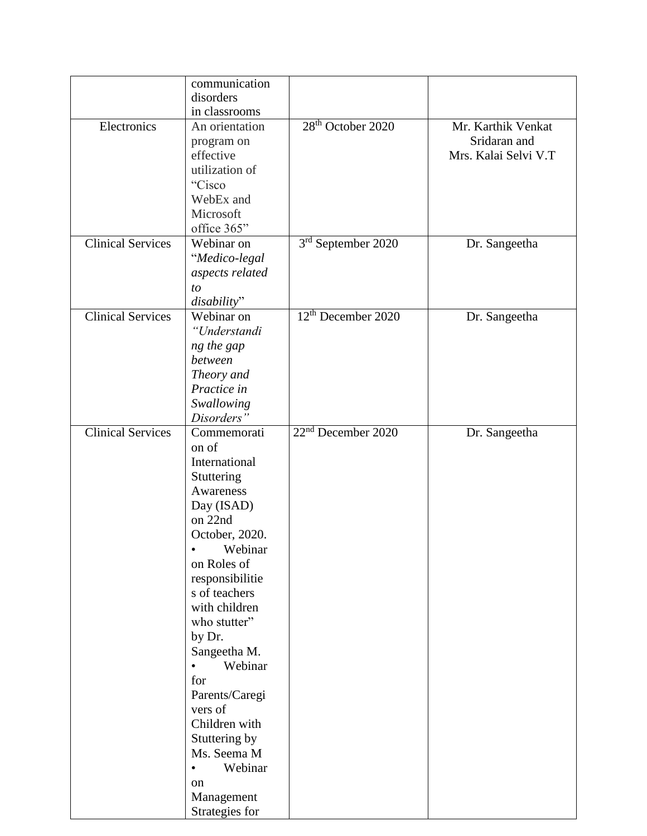|                          | communication        |                                |                      |
|--------------------------|----------------------|--------------------------------|----------------------|
|                          | disorders            |                                |                      |
|                          | in classrooms        |                                |                      |
| Electronics              | An orientation       | $28th$ October 2020            | Mr. Karthik Venkat   |
|                          | program on           |                                | Sridaran and         |
|                          | effective            |                                | Mrs. Kalai Selvi V.T |
|                          | utilization of       |                                |                      |
|                          | "Cisco               |                                |                      |
|                          | WebEx and            |                                |                      |
|                          | Microsoft            |                                |                      |
|                          |                      |                                |                      |
|                          | office 365"          |                                |                      |
| <b>Clinical Services</b> | Webinar on           | 3rd September 2020             | Dr. Sangeetha        |
|                          | "Medico-legal        |                                |                      |
|                          | aspects related      |                                |                      |
|                          | to                   |                                |                      |
|                          | disability"          |                                |                      |
| <b>Clinical Services</b> | Webinar on           | 12 <sup>th</sup> December 2020 | Dr. Sangeetha        |
|                          | "Understandi         |                                |                      |
|                          | ng the gap           |                                |                      |
|                          | between              |                                |                      |
|                          | Theory and           |                                |                      |
|                          | Practice in          |                                |                      |
|                          |                      |                                |                      |
|                          | Swallowing           |                                |                      |
|                          | Disorders"           |                                |                      |
| <b>Clinical Services</b> | Commemorati          | 22 <sup>nd</sup> December 2020 | Dr. Sangeetha        |
|                          | on of                |                                |                      |
|                          | International        |                                |                      |
|                          | Stuttering           |                                |                      |
|                          | Awareness            |                                |                      |
|                          | Day (ISAD)           |                                |                      |
|                          | on 22nd              |                                |                      |
|                          | October, 2020.       |                                |                      |
|                          | Webinar              |                                |                      |
|                          | on Roles of          |                                |                      |
|                          | responsibilitie      |                                |                      |
|                          | s of teachers        |                                |                      |
|                          | with children        |                                |                      |
|                          | who stutter"         |                                |                      |
|                          | by Dr.               |                                |                      |
|                          | Sangeetha M.         |                                |                      |
|                          | Webinar<br>$\bullet$ |                                |                      |
|                          |                      |                                |                      |
|                          | for                  |                                |                      |
|                          | Parents/Caregi       |                                |                      |
|                          | vers of              |                                |                      |
|                          | Children with        |                                |                      |
|                          | Stuttering by        |                                |                      |
|                          | Ms. Seema M          |                                |                      |
|                          | Webinar<br>$\bullet$ |                                |                      |
|                          | on                   |                                |                      |
|                          | Management           |                                |                      |
|                          | Strategies for       |                                |                      |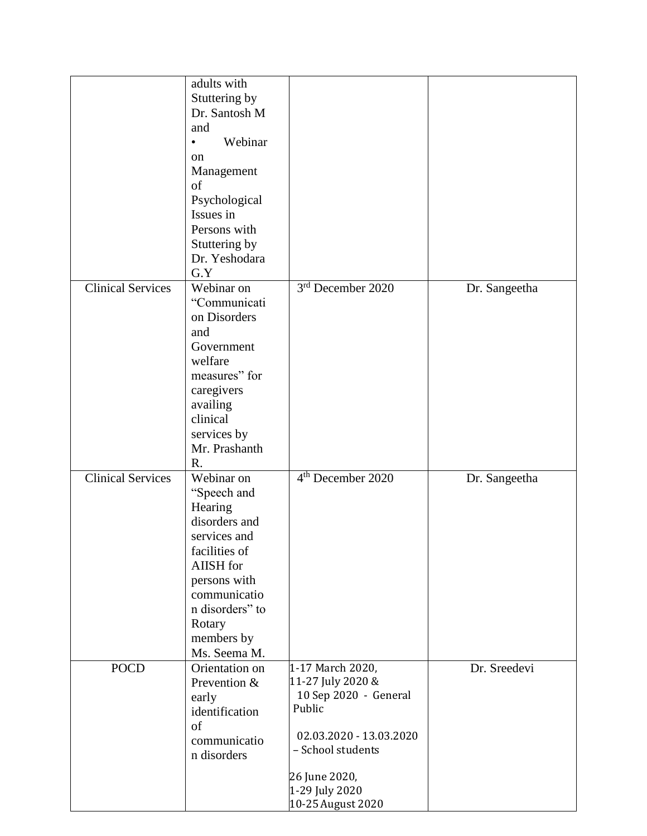|                          | adults with          |                                            |               |
|--------------------------|----------------------|--------------------------------------------|---------------|
|                          | Stuttering by        |                                            |               |
|                          | Dr. Santosh M        |                                            |               |
|                          | and                  |                                            |               |
|                          | Webinar<br>$\bullet$ |                                            |               |
|                          | on                   |                                            |               |
|                          | Management           |                                            |               |
|                          | of                   |                                            |               |
|                          | Psychological        |                                            |               |
|                          | Issues in            |                                            |               |
|                          | Persons with         |                                            |               |
|                          | Stuttering by        |                                            |               |
|                          | Dr. Yeshodara        |                                            |               |
|                          | G.Y                  |                                            |               |
| <b>Clinical Services</b> | Webinar on           | 3 <sup>rd</sup> December 2020              |               |
|                          | "Communicati         |                                            | Dr. Sangeetha |
|                          |                      |                                            |               |
|                          | on Disorders         |                                            |               |
|                          | and                  |                                            |               |
|                          | Government           |                                            |               |
|                          | welfare              |                                            |               |
|                          | measures" for        |                                            |               |
|                          | caregivers           |                                            |               |
|                          | availing             |                                            |               |
|                          | clinical             |                                            |               |
|                          | services by          |                                            |               |
|                          | Mr. Prashanth        |                                            |               |
|                          | R.                   |                                            |               |
| <b>Clinical Services</b> | Webinar on           | 4 <sup>th</sup> December 2020              | Dr. Sangeetha |
|                          | "Speech and          |                                            |               |
|                          | Hearing              |                                            |               |
|                          | disorders and        |                                            |               |
|                          | services and         |                                            |               |
|                          | facilities of        |                                            |               |
|                          | AIISH for            |                                            |               |
|                          | persons with         |                                            |               |
|                          | communicatio         |                                            |               |
|                          | n disorders" to      |                                            |               |
|                          | Rotary               |                                            |               |
|                          | members by           |                                            |               |
|                          | Ms. Seema M.         |                                            |               |
| <b>POCD</b>              | Orientation on       | 1-17 March 2020,                           | Dr. Sreedevi  |
|                          | Prevention &         | 11-27 July 2020 &<br>10 Sep 2020 - General |               |
|                          | early                | Public                                     |               |
|                          | identification       |                                            |               |
|                          | of                   | 02.03.2020 - 13.03.2020                    |               |
|                          | communicatio         | - School students                          |               |
|                          | n disorders          |                                            |               |
|                          |                      | 26 June 2020,                              |               |
|                          |                      | 1-29 July 2020                             |               |
|                          |                      | 10-25 August 2020                          |               |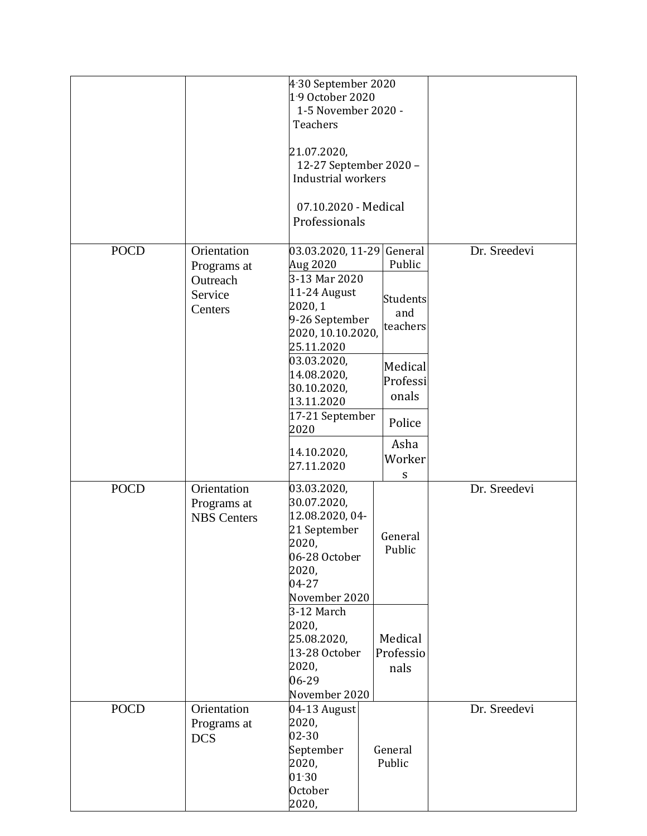|             |                                                              | 4.30 September 2020<br>1-9 October 2020<br>1-5 November 2020 -<br>Teachers<br>21.07.2020,<br>12-27 September 2020 -<br>Industrial workers<br>07.10.2020 - Medical<br>Professionals                                                                |                                                                                                                               |              |
|-------------|--------------------------------------------------------------|---------------------------------------------------------------------------------------------------------------------------------------------------------------------------------------------------------------------------------------------------|-------------------------------------------------------------------------------------------------------------------------------|--------------|
| <b>POCD</b> | Orientation<br>Programs at<br>Outreach<br>Service<br>Centers | 03.03.2020, 11-29<br>Aug 2020<br>3-13 Mar 2020<br>11-24 August<br>2020, 1<br>9-26 September<br>2020, 10.10.2020,<br>25.11.2020<br>03.03.2020,<br>14.08.2020,<br>30.10.2020,<br>13.11.2020<br>17-21 September<br>2020<br>14.10.2020,<br>27.11.2020 | General<br>Public<br>Students<br>and<br>teachers<br>Medical<br>Professi<br>onals<br>Police<br>Asha<br>Worker<br>${\mathsf S}$ | Dr. Sreedevi |
| <b>POCD</b> | Orientation<br>Programs at<br><b>NBS</b> Centers             | 03.03.2020,<br>30.07.2020,<br>12.08.2020, 04-<br>21 September<br>2020,<br>06-28 October<br>2020,<br>04-27<br>November 2020<br>3-12 March<br>2020,<br>25.08.2020,<br>13-28 October<br>2020,<br>06-29<br>November 2020                              | General<br>Public<br>Medical<br>Professio<br>nals                                                                             | Dr. Sreedevi |
| <b>POCD</b> | Orientation<br>Programs at<br><b>DCS</b>                     | 04-13 August<br>2020,<br>02-30<br>September<br>2020,<br>$01 - 30$<br>October<br>2020,                                                                                                                                                             | General<br>Public                                                                                                             | Dr. Sreedevi |